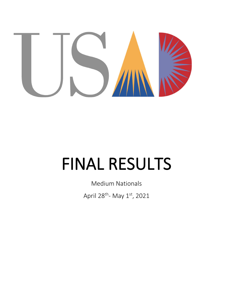

# FINAL RESULTS

Medium Nationals April 28<sup>th</sup>- May 1<sup>st</sup>, 2021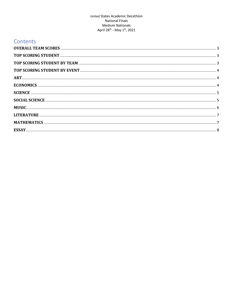# Contents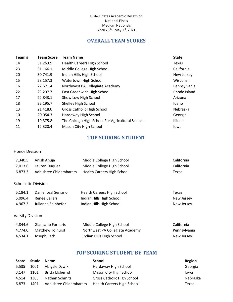# **OVERALL TEAM SCORES**

<span id="page-2-0"></span>

| Team# | <b>Team Score</b> | <b>Team Name</b>                                  | <b>State</b> |
|-------|-------------------|---------------------------------------------------|--------------|
| 14    | 31,263.9          | <b>Health Careers High School</b>                 | Texas        |
| 23    | 31,166.1          | Middle College High School                        | California   |
| 20    | 30,741.9          | Indian Hills High School                          | New Jersey   |
| 15    | 28,157.3          | Watertown High School                             | Wisconsin    |
| 16    | 27,671.4          | Northwest PA Collegiate Academy                   | Pennsylvania |
| 22    | 23,297.7          | East Greenwich High School                        | Rhode Island |
| 17    | 22,843.1          | Show Low High School                              | Arizona      |
| 18    | 22,195.7          | Shelley High School                               | Idaho        |
| 13    | 21,418.0          | <b>Gross Catholic High School</b>                 | Nebraska     |
| 10    | 20,054.3          | Hardaway High School                              | Georgia      |
| 19    | 19,375.8          | The Chicago High School For Agricultural Sciences | Illinois     |
| 11    | 12,320.4          | Mason City High School                            | Iowa         |

# **TOP SCORING STUDENT**

#### <span id="page-2-1"></span>Honor Division

| 7.340.5 | Anish Ahuia           | Middle College High School | California |
|---------|-----------------------|----------------------------|------------|
| 7.013.6 | Lauren Duguez         | Middle College High School | California |
| 6.873.3 | Adhishree Chidambaram | Health Careers High School | Texas      |

#### Scholastic Division

| 5.184.1 | Daniel Leal Serrano | Health Careers High School | Texas      |
|---------|---------------------|----------------------------|------------|
| 5.096.4 | Renée Callari       | Indian Hills High School   | New Jersey |
| 4.967.3 | Julianna Zelnhefer  | Indian Hills High School   | New Jersey |

## Varsity Division

| 4.844.6 | Giancarlo Fornaris | Middle College High School      | California   |
|---------|--------------------|---------------------------------|--------------|
| 4.774.0 | Matthew Tolhurst   | Northwest PA Collegiate Academy | Pennsylvania |
| 4.534.1 | Joseph Park        | Indian Hills High School        | New Jersey   |

# **TOP SCORING STUDENT BY TEAM**

<span id="page-2-2"></span>

|       | Score Stude Name |                       | <b>School</b>                     | Region   |
|-------|------------------|-----------------------|-----------------------------------|----------|
| 5,535 | 1001             | Abigale Dzwik         | Hardaway High School              | Georgia  |
| 3.147 | 1101             | Britta Elsbernd       | Mason City High School            | lowa     |
| 4.514 | 1303             | Nathan Schmitz        | <b>Gross Catholic High School</b> | Nebraska |
| 6,873 | 1401             | Adhishree Chidambaram | <b>Health Careers High School</b> | Texas    |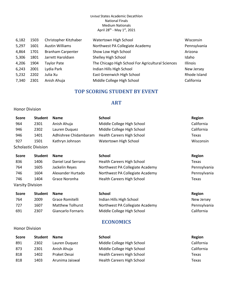| 6,182 | 1503 | Christopher Kitzhaber    | Watertown High School                             | Wisconsin    |
|-------|------|--------------------------|---------------------------------------------------|--------------|
| 5,297 | 1601 | <b>Austin Williams</b>   | Northwest PA Collegiate Academy                   | Pennsylvania |
| 4,864 | 1701 | <b>Branham Carpenter</b> | Show Low High School                              | Arizona      |
| 5,306 | 1801 | Jarrett Haroldsen        | Shelley High School                               | Idaho        |
| 4,206 | 1904 | <b>Taylor Pate</b>       | The Chicago High School For Agricultural Sciences | Illinois     |
| 6,243 | 2001 | Lydia Park               | Indian Hills High School                          | New Jersey   |
| 5,232 | 2202 | Julia Xu                 | East Greenwich High School                        | Rhode Island |
| 7,340 | 2301 | Anish Ahuja              | Middle College High School                        | California   |

# **TOP SCORING STUDENT BY EVENT**

## **ART**

#### <span id="page-3-1"></span><span id="page-3-0"></span>Honor Division

| Score                      | <b>Student</b> | <b>Name</b>             | <b>School</b>                   | <b>Region</b> |
|----------------------------|----------------|-------------------------|---------------------------------|---------------|
| 964                        | 2301           | Anish Ahuja             | Middle College High School      | California    |
| 946                        | 2302           | Lauren Duquez           | Middle College High School      | California    |
| 946                        | 1401           | Adhishree Chidambaram   | Health Careers High School      | Texas         |
| 927                        | 1501           | Kathryn Johnson         | Watertown High School           | Wisconsin     |
| <b>Scholastic Division</b> |                |                         |                                 |               |
| <b>Score</b>               | <b>Student</b> | <b>Name</b>             | <b>School</b>                   | <b>Region</b> |
| 836                        | 1406           | Daniel Leal Serrano     | Health Careers High School      | Texas         |
| 764                        | 1605           | Jackelin Reyes          | Northwest PA Collegiate Academy | Pennsylvania  |
| 746                        | 1604           | Alexander Hurtado       | Northwest PA Collegiate Academy | Pennsylvania  |
| 746                        | 1404           | Grace Noronha           | Health Careers High School      | Texas         |
| <b>Varsity Division</b>    |                |                         |                                 |               |
| <b>Score</b>               | <b>Student</b> | <b>Name</b>             | <b>School</b>                   | <b>Region</b> |
| 764                        | 2009           | Grace Romitelli         | Indian Hills High School        | New Jersey    |
| 727                        | 1607           | <b>Matthew Tolhurst</b> | Northwest PA Collegiate Academy | Pennsylvania  |
| 691                        | 2307           | Giancarlo Fornaris      | Middle College High School      | California    |
|                            |                |                         | <b>ECONOMICS</b>                |               |
| <b>Honor Division</b>      |                |                         |                                 |               |

<span id="page-3-2"></span>

| <b>Score</b> | <b>Student</b> | <b>Name</b>     | <b>School</b>                     | Region     |
|--------------|----------------|-----------------|-----------------------------------|------------|
| 891          | 2302           | Lauren Duguez   | Middle College High School        | California |
| 873          | 2301           | Anish Ahuja     | Middle College High School        | California |
| 818          | 1402           | Praket Desai    | <b>Health Careers High School</b> | Texas      |
| 818          | 1403           | Arunima Jaiswal | <b>Health Careers High School</b> | Texas      |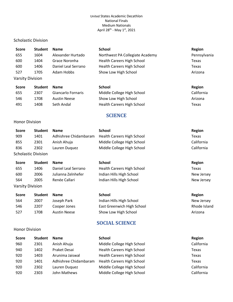#### Scholastic Division

| <b>Score</b>     | <b>Student</b> | <b>Name</b>         | <b>School</b>                     | <b>Region</b> |
|------------------|----------------|---------------------|-----------------------------------|---------------|
| 655              | 1604           | Alexander Hurtado   | Northwest PA Collegiate Academy   | Pennsylvania  |
| 600              | 1404           | Grace Noronha       | <b>Health Careers High School</b> | Texas         |
| 600              | 1406           | Daniel Leal Serrano | <b>Health Careers High School</b> | Texas         |
| 527              | 1705           | Adam Hobbs          | Show Low High School              | Arizona       |
| Varsity Division |                |                     |                                   |               |
| <b>Score</b>     | <b>Student</b> | <b>Name</b>         | <b>School</b>                     | <b>Region</b> |
| 655              | 2307           | Giancarlo Fornaris  | Middle College High School        | California    |
| 546              | 1708           | <b>Austin Neese</b> | Show Low High School              | Arizona       |

## **SCIENCE**

<span id="page-4-0"></span>491 1408 Seth Andal Health Careers High School 7exas

#### Honor Division

<span id="page-4-1"></span>Honor Division

| <b>Score</b> | <b>Student</b>             | <b>Name</b>           | <b>School</b>              | Region     |
|--------------|----------------------------|-----------------------|----------------------------|------------|
| 909          | 1401                       | Adhishree Chidambaram | Health Careers High School | Texas      |
| 855          | 2301                       | Anish Ahuja           | Middle College High School | California |
| 836          | 2302                       | Lauren Duguez         | Middle College High School | California |
|              | <b>Scholastic Division</b> |                       |                            |            |

#### **Score Student 1406 Name School School Region** 655 1406 Daniel Leal Serrano Health Careers High School Texas 600 2006 Julianna Zelnhefer Indian Hills High School New Jersey 564 2005 Renée Callari **Indian Hills High School** New Jersey Varsity Division

#### **Score Student # Name School School Region** 564 2007 Joseph Park Indian Hills High School New Jersey 546 2207 Cooper Jones East Greenwich High School Rhode Island 527 1708 Austin Neese Show Low High School Show Low High School Arizona

## **SOCIAL SCIENCE**

| <b>Score</b> | <b>Student</b> | <b>Name</b>           | <b>School</b>                     | Region     |
|--------------|----------------|-----------------------|-----------------------------------|------------|
| 960          | 2301           | Anish Ahuja           | Middle College High School        | California |
| 940          | 1402           | Praket Desai          | <b>Health Careers High School</b> | Texas      |
| 920          | 1403           | Arunima Jaiswal       | <b>Health Careers High School</b> | Texas      |
| 920          | 1401           | Adhishree Chidambaram | <b>Health Careers High School</b> | Texas      |
| 920          | 2302           | Lauren Duguez         | Middle College High School        | California |
| 920          | 2303           | John Mathews          | Middle College High School        | California |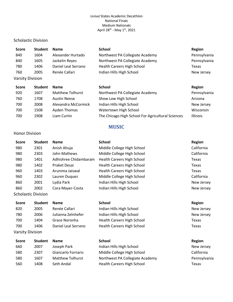## Scholastic Division

| <b>Score</b>     | <b>Student</b> | <b>Name</b>             | <b>School</b>                     | Region       |
|------------------|----------------|-------------------------|-----------------------------------|--------------|
| 840              | 1604           | Alexander Hurtado       | Northwest PA Collegiate Academy   | Pennsylvania |
| 840              | 1605           | Jackelin Reyes          | Northwest PA Collegiate Academy   | Pennsylvania |
| 780              | 1406           | Daniel Leal Serrano     | <b>Health Careers High School</b> | Texas        |
| 760              | 2005           | Renée Callari           | Indian Hills High School          | New Jersey   |
| Varsity Division |                |                         |                                   |              |
| <b>Score</b>     | <b>Student</b> | <b>Name</b>             | <b>School</b>                     | Region       |
| 920              | 1607           | <b>Matthew Tolhurst</b> | Northwest PA Collegiate Academy   | Pennsylvania |

| 760 | 1708 | Austin Neese        | Show Low High School                              | Arizona         |
|-----|------|---------------------|---------------------------------------------------|-----------------|
| 700 | 2008 | Alexandra McCormick | Indian Hills High School                          | New Jersey      |
| 700 | 1508 | Ayden Thomas        | Watertown High School                             | Wisconsin       |
| 700 | 1908 | Liam Curtin         | The Chicago High School For Agricultural Sciences | <b>Illinois</b> |

# **MUSIC**

<span id="page-5-0"></span>

|  | <b>Honor Division</b> |
|--|-----------------------|
|--|-----------------------|

| <b>Score</b>            | <b>Student</b>             | <b>Name</b>           | <b>School</b>                     | <b>Region</b> |
|-------------------------|----------------------------|-----------------------|-----------------------------------|---------------|
| 980                     | 2301                       | Anish Ahuja           | Middle College High School        | California    |
| 980                     | 2303                       | John Mathews          | Middle College High School        | California    |
| 980                     | 1401                       | Adhishree Chidambaram | Health Careers High School        | Texas         |
| 980                     | 1402                       | Praket Desai          | <b>Health Careers High School</b> | Texas         |
| 960                     | 1403                       | Arunima Jaiswal       | <b>Health Careers High School</b> | Texas         |
| 960                     | 2302                       | Lauren Duquez         | Middle College High School        | California    |
| 860                     | 2001                       | Lydia Park            | Indian Hills High School          | New Jersey    |
| 860                     | 2002                       | Cora Mayer-Costa      | Indian Hills High School          | New Jersey    |
|                         | <b>Scholastic Division</b> |                       |                                   |               |
| <b>Score</b>            | <b>Student</b>             | <b>Name</b>           | <b>School</b>                     | <b>Region</b> |
| 820                     | 2005                       | Renée Callari         | Indian Hills High School          | New Jersey    |
| 780                     | 2006                       | Julianna Zelnhefer    | Indian Hills High School          | New Jersey    |
| 700                     | 1404                       | Grace Noronha         | <b>Health Careers High School</b> | Texas         |
| 700                     | 1406                       | Daniel Leal Serrano   | <b>Health Careers High School</b> | Texas         |
| <b>Varsity Division</b> |                            |                       |                                   |               |
| <b>Score</b>            | <b>Student</b>             | <b>Name</b>           | <b>School</b>                     | <b>Region</b> |
| 660                     | 2007                       | Joseph Park           | Indian Hills High School          | New Jersey    |

580 2307 Giancarlo Fornaris Middle College High School California 580 1607 Matthew Tolhurst Northwest PA Collegiate Academy Pennsylvania 560 1408 Seth Andal Health Careers High School Texas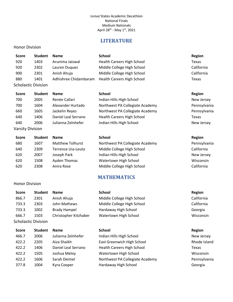## **LITERATURE**

#### <span id="page-6-0"></span>Honor Division

<span id="page-6-1"></span>Honor Division

| <b>Score</b> | <b>Student</b>      | <b>Name</b>           | <b>School</b>                     | Region     |
|--------------|---------------------|-----------------------|-----------------------------------|------------|
| 920          | 1403                | Arunima Jaiswal       | <b>Health Careers High School</b> | Texas      |
| 920          | 2302                | Lauren Duquez         | Middle College High School        | California |
| 900          | 2301                | Anish Ahuja           | Middle College High School        | California |
| 880          | 1401                | Adhishree Chidambaram | <b>Health Careers High School</b> | Texas      |
|              | Scholastic Division |                       |                                   |            |

| <b>Score</b>            | <b>Student</b> | <b>Name</b>         | <b>School</b>                   | Region     |
|-------------------------|----------------|---------------------|---------------------------------|------------|
| 700                     | 2005           | Renée Callari       | Indian Hills High School        | New Jersey |
| 700                     | 1604           | Alexander Hurtado   | Northwest PA Collegiate Academy | Pennsylvan |
| 660                     | 1605           | Jackelin Reyes      | Northwest PA Collegiate Academy | Pennsylvan |
| 640                     | 1406           | Daniel Leal Serrano | Health Careers High School      | Texas      |
| 640                     | 2006           | Julianna Zelnhefer  | Indian Hills High School        | New Jersey |
| <b>Varsity Division</b> |                |                     |                                 |            |

| <b>Student</b> | <b>Name</b>             | <b>School</b>                   | Region     |
|----------------|-------------------------|---------------------------------|------------|
| 1607           | <b>Matthew Tolhurst</b> | Northwest PA Collegiate Academy | Pennsylvan |
| 2309           | Terrence Uia-Leuta      | Middle College High School      | California |
| 2007           | Joseph Park             | Indian Hills High School        | New Jersey |
| 1508           | Ayden Thomas            | Watertown High School           | Wisconsin  |
| 2308           | Anira Rose              | Middle College High School      | California |
|                |                         |                                 |            |

## **MATHEMATICS**

| <b>Score</b>               | <b>Student</b> | <b>Name</b>           | <b>School</b>              | <b>Region</b> |
|----------------------------|----------------|-----------------------|----------------------------|---------------|
| 866.7                      | 2301           | Anish Ahuja           | Middle College High School | California    |
| 733.3                      | 2303           | John Mathews          | Middle College High School | California    |
| 733.3                      | 1002           | <b>Brady Hampel</b>   | Hardaway High School       | Georgia       |
| 666.7                      | 1503           | Christopher Kitzhaber | Watertown High School      | Wisconsin     |
| <b>Scholastic Division</b> |                |                       |                            |               |
| <b>Score</b>               | <b>Student</b> | <b>Name</b>           | <b>School</b>              | <b>Region</b> |
| 466.7                      | 2006           | Julianna Zelnhefer    | Indian Hills High School   | New Jersey    |

422.2 2205 Aiza Shaikh East Greenwich High School Rhode Island 422.2 1406 Daniel Leal Serrano Health Careers High School Texas 422.2 1505 Joshua Meloy Watertown High School Wisconsin 422.2 1606 Sarah Deimel Northwest PA Collegiate Academy Pennsylvania 377.8 1004 Kyra Cooper Hardaway High School Georgia

Pennsylvania Pennsylvania

Pennsylvania